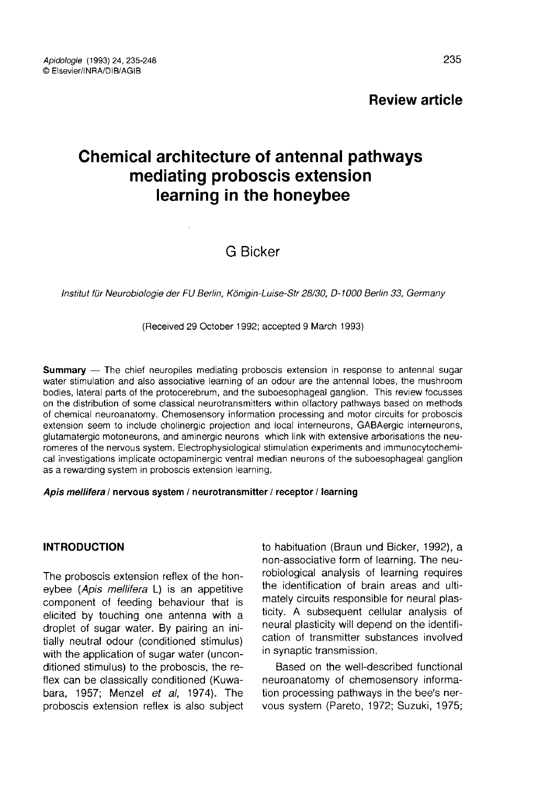# Chemical architecture of antennal pathways mediating proboscis extension learning in the honeybee

# G Bicker

Institut für Neurobiologie der FU Berlin, Königin-Luise-Str 28/30, D-1000 Berlin 33, Germany

(Received 29 October 1992; accepted 9 March 1993)

Summary — The chief neuropiles mediating proboscis extension in response to antennal sugar water stimulation and also associative learning of an odour are the antennal lobes, the mushroom bodies, lateral parts of the protocerebrum, and the suboesophageal ganglion. This review focusses on the distribution of some classical neurotransmitters within olfactory pathways based on methods of chemical neuroanatomy. Chemosensory information processing and motor circuits for proboscis extension seem to include cholinergic projection and local interneurons, GABAergic interneurons, glutamatergic motoneurons, and aminergic neurons which link with extensive arborisations the neuromeres of the nervous system. Electrophysiological stimulation experiments and immunocytochemical investigations implicate octopaminergic ventral median neurons of the suboesophageal ganglion as a rewarding system in proboscis extension learning.

#### Apis mellifera / nervous system / neurotransmitter / receptor / learning

#### INTRODUCTION

The proboscis extension reflex of the honeybee (Apis mellifera L) is an appetitive component of feeding behaviour that is elicited by touching one antenna with a droplet of sugar water. By pairing an initially neutral odour (conditioned stimulus) with the application of sugar water (unconditioned stimulus) to the proboscis, the reflex can be classically conditioned (Kuwabara, 1957; Menzel et al, 1974). The proboscis extension reflex is also subject to habituation (Braun und Bicker, 1992), a non-associative form of learning. The neurobiological analysis of learning requires the identification of brain areas and ultimately circuits responsible for neural plasticity. A subsequent cellular analysis of neural plasticity will depend on the identification of transmitter substances involved in synaptic transmission.

Based on the well-described functional neuroanatomy of chemosensory information processing pathways in the bee's nervous system (Pareto, 1972; Suzuki, 1975;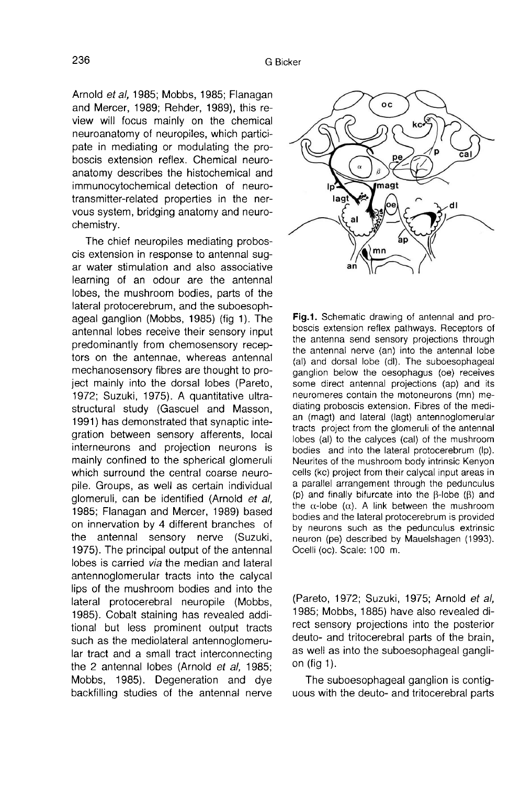Arnold et al, 1985; Mobbs, 1985; Flanagan and Mercer, 1989; Rehder, 1989), this review will focus mainly on the chemical neuroanatomy of neuropiles, which participate in mediating or modulating the proboscis extension reflex. Chemical neuroanatomy describes the histochemical and immunocytochemical detection of neurotransmitter-related properties in the nervous system, bridging anatomy and neurochemistry.

The chief neuropiles mediating proboscis extension in response to antennal sugar water stimulation and also associative learning of an odour are the antennal lobes, the mushroom bodies, parts of the lateral protocerebrum, and the suboesophageal ganglion (Mobbs, 1985) (fig 1). The antennal lobes receive their sensory input predominantly from chemosensory receptors on the antennae, whereas antennal mechanosensory fibres are thought to project mainly into the dorsal lobes (Pareto, 1972; Suzuki, 1975). A quantitative ultrastructural study (Gascuel and Masson, 1991) has demonstrated that synaptic integration between sensory afferents, local interneurons and projection neurons is mainly confined to the spherical glomeruli which surround the central coarse neuropile. Groups, as well as certain individual glomeruli, can be identified (Arnold et al, 1985; Flanagan and Mercer, 1989) based on innervation by 4 different branches of the antennal sensory nerve (Suzuki, 1975). The principal output of the antennal lobes is carried via the median and lateral antennoglomerular tracts into the calycal lips of the mushroom bodies and into the lateral protocerebral neuropile (Mobbs, 1985). Cobalt staining has revealed additional but less prominent output tracts such as the mediolateral antennoglomerular tract and a small tract interconnecting the 2 antennal lobes (Arnold et al, 1985; Mobbs, 1985). Degeneration and dye backfilling studies of the antennal nerve



Fig.1. Schematic drawing of antennal and proboscis extension reflex pathways. Receptors of the antenna send sensory projections through the antennal nerve (an) into the antennal lobe (al) and dorsal lobe (dl). The suboesophageal ganglion below the oesophagus (oe) receives some direct antennal projections (ap) and its neuromeres contain the motoneurons (mn) mediating proboscis extension. Fibres of the median (magt) and lateral (lagt) antennoglomerular tracts project from the glomeruli of the antennal lobes (al) to the calyces (cal) of the mushroom bodies and into the lateral protocerebrum (lp). Neurites of the mushroom body intrinsic Kenyon cells (kc) project from their calycal input areas in a parallel arrangement through the pedunculus (p) and finally bifurcate into the  $\beta$ -lobe ( $\beta$ ) and the  $\alpha$ -lobe ( $\alpha$ ). A link between the mushroom bodies and the lateral protocerebrum is provided by neurons such as the pedunculus extrinsic neuron (pe) described by Mauelshagen (1993). Ocelli (oc). Scale: 100 m.

(Pareto, 1972; Suzuki, 1975; Arnold et al, 1985; Mobbs, 1885) have also revealed direct sensory projections into the posterior deuto- and tritocerebral parts of the brain, as well as into the suboesophageal gangli on (fig 1).

The suboesophageal ganglion is contig uous with the deuto- and tritocerebral parts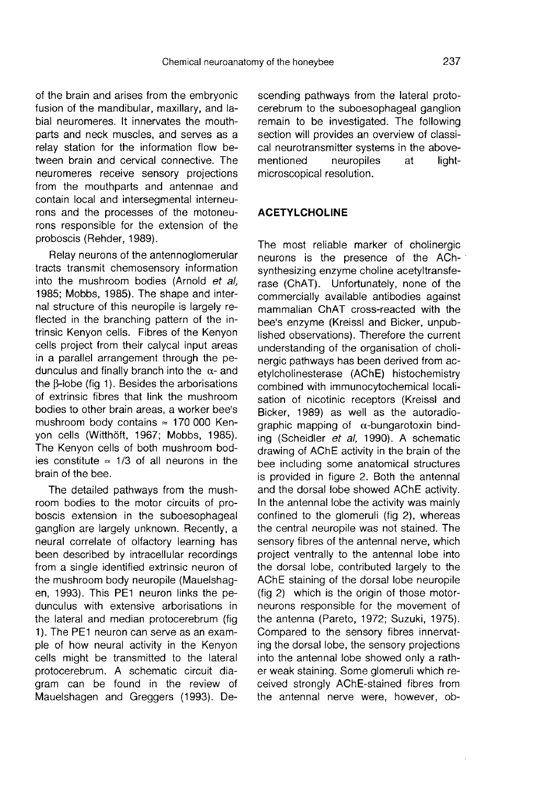of the brain and arises from the embryonic fusion of the mandibular, maxillary, and labial neuromeres. It innervates the mouthparts and neck muscles, and serves as a relay station for the information flow between brain and cervical connective. The neuromeres receive sensory projections from the mouthparts and antennae and contain local and intersegmental interneurons and the processes of the motoneurons responsible for the extension of the proboscis (Rehder, 1989).

Relay neurons of the antennoglomerular tracts transmit chemosensory information into the mushroom bodies (Arnold et al. 1985; Mobbs, 1985). The shape and internal structure of this neuropile is largely reflected in the branching pattern of the intrinsic Kenyon cells. Fibres of the Kenyon cells project from their calycal input areas in a parallel arrangement through the pedunculus and finally branch into the α- and the β-lobe (fig 1). Besides the arborisations of extrinsic fibres that link the mushroom bodies to other brain areas, a worker bee's mushroom body contains  $\approx$  170 000 Kenyon cells (Witthöft, 1967; Mobbs, 1985). The Kenyon cells of both mushroom bodies constitute  $\approx$  1/3 of all neurons in the brain of the bee.

The detailed pathways from the mushroom bodies to the motor circuits of proboscis extension in the suboesophageal ganglion are largely unknown. Recently, a neural correlate of olfactory learning has been described by intracellular recordings from a single identified extrinsic neuron of the mushroom body neuropile (Mauelshag en, 1993). This PE1 neuron links the pedunculus with extensive arborisations in the lateral and median protocerebrum (fig 1). The PE1 neuron can serve as an example of how neural activity in the Kenyon cells might be transmitted to the lateral protocerebrum. A schematic circuit diagram can be found in the review of Mauelshagen and Greggers (1993). Descending pathways from the lateral protocerebrum to the suboesophageal ganglion remain to be investigated. The following section will provides an overview of classical neurotransmitter systems in the aboveneuropiles at microscopical resolution.

#### **ACETYLCHOLINE**

The most reliable marker of cholinergic neurons is the presence of the AChsynthesizing enzyme choline acetyltransfe rase (ChAT). Unfortunately, none of the commercially available antibodies against mammalian ChAT cross-reacted with the bee's enzyme (Kreissl and Bicker, unpublished observations). Therefore the current understanding of the organisation of cholinergic pathways has been derived from acetylcholinesterase (AChE) histochemistry combined with immunocytochemical localisation of nicotinic receptors (Kreissl and Bicker, 1989) as well as the autoradiographic mapping of α-bungarotoxin binding (Scheidler et al, 1990). A schematic drawing of AChE activity in the brain of the bee including some anatomical structures is provided in figure 2. Both the antennal and the dorsal lobe showed AChE activity. In the antennal lobe the activity was mainly confined to the glomeruli (fig 2), whereas the central neuropile was not stained. The sensory fibres of the antennal nerve, which project ventrally to the antennal lobe into the dorsal lobe, contributed largely to the AChE staining of the dorsal lobe neuropile (fig 2) which is the origin of those motorneurons responsible for the movement of the antenna (Pareto, 1972; Suzuki, 1975). Compared to the sensory fibres innervating the dorsal lobe, the sensory projections into the antennal lobe showed only a rather weak staining. Some glomeruli which received strongly AChE-stained fibres from the antennal nerve were, however, ob-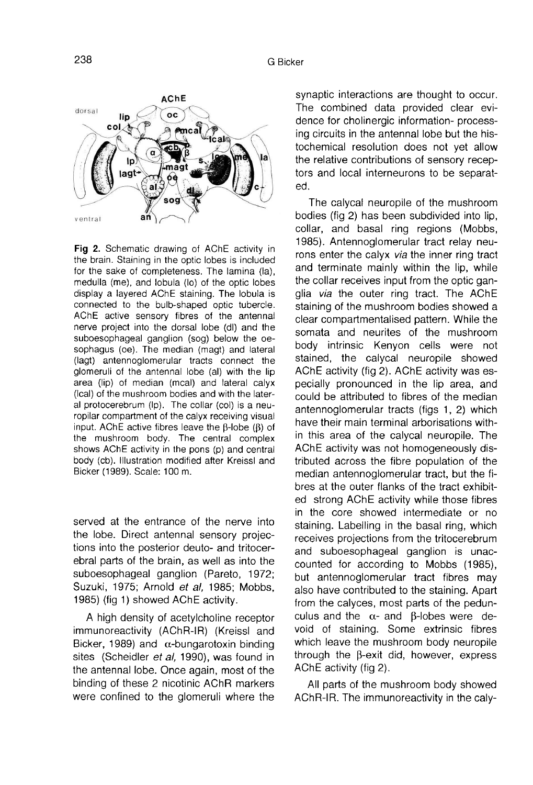

Fig 2. Schematic drawing of AChE activity in the brain. Staining in the optic lobes is included for the sake of completeness. The lamina (la), medulla (me), and lobula (lo) of the optic lobes display a layered AChE staining. The lobula is connected to the bulb-shaped optic tubercle. AChE active sensory fibres of the antennal nerve project into the dorsal lobe (dl) and the suboesophageal ganglion (sog) below the oesophagus (oe). The median (magt) and lateral (lagt) antennoglomerular tracts connect the glomeruli of the antennal lobe (al) with the lip area (lip) of median (mcal) and lateral calyx (Ical) of the mushroom bodies and with the lateral protocerebrum (lp). The collar (col) is a neuropilar compartment of the calyx receiving visual input. AChE active fibres leave the  $\beta$ -lobe ( $\beta$ ) of the mushroom body. The central complex shows AChE activity in the pons (p) and central body (cb). Illustration modified after Kreissl and Bicker (1989). Scale: 100 m.

served at the entrance of the nerve into the lobe. Direct antennal sensory projections into the posterior deuto- and tritocerebral parts of the brain, as well as into the suboesophageal ganglion (Pareto, 1972; Suzuki, 1975; Arnold et al, 1985; Mobbs, 1985) (fig 1) showed AChE activity.

A high density of acetylcholine receptor immunoreactivity (AChR-IR) (Kreissl and Bicker, 1989) and  $\alpha$ -bungarotoxin binding sites (Scheidler et al, 1990), was found in the antennal lobe. Once again, most of the binding of these 2 nicotinic AChR markers were confined to the glomeruli where the synaptic interactions are thought to occur. The combined data provided clear evidence for cholinergic information- processing circuits in the antennal lobe but the histochemical resolution does not yet allow the relative contributions of sensory receptors and local interneurons to be separated.

The calycal neuropile of the mushroom bodies (fig 2) has been subdivided into lip, collar, and basal ring regions (Mobbs, 1985). Antennoglomerular tract relay neurons enter the calyx via the inner ring tract and terminate mainly within the lip, while the collar receives input from the optic ganglia via the outer ring tract. The AChE staining of the mushroom bodies showed a clear compartmentalised pattern. While the somata and neurites of the mushroom body intrinsic Kenyon cells were not stained, the calycal neuropile showed AChE activity (fig 2). AChE activity was especially pronounced in the lip area, and could be attributed to fibres of the median antennoglomerular tracts (figs 1, 2) which have their main terminal arborisations within this area of the calycal neuropile. The AChE activity was not homogeneously distributed across the fibre population of the median antennoglomerular tract, but the fibres at the outer flanks of the tract exhibited strong AChE activity while those fibres in the core showed intermediate or no staining. Labelling in the basal ring, which receives projections from the tritocerebrum and suboesophageal ganglion is unaccounted for according to Mobbs (1985), but antennoglomerular tract fibres may also have contributed to the staining. Apart from the calyces, most parts of the pedunculus and the  $\alpha$ - and β-lobes were devoid of staining. Some extrinsic fibres which leave the mushroom body neuropile through the β-exit did, however, express AChE activity (fig 2).

All parts of the mushroom body showed ACHR-IR. The immunoreactivity in the caly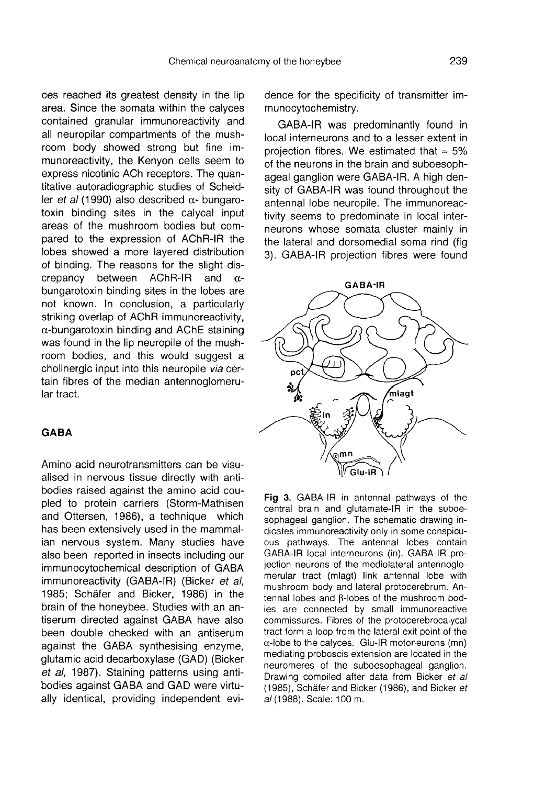ces reached its greatest density in the lip area. Since the somata within the calyces contained granular immunoreactivity and all neuropilar compartments of the mushroom body showed strong but fine immunoreactivity, the Kenyon cells seem to express nicotinic ACh receptors. The quantitative autoradiographic studies of Scheidler *et al* (1990) also described  $\alpha$ - bungarotoxin binding sites in the calycal input areas of the mushroom bodies but compared to the expression of AChR-IR the lobes showed a more layered distribution of binding. The reasons for the slight dis-<br>crepancy between AChR-IR and  $\alpha$ crepancy between AChR-IR and α bungarotoxin binding sites in the lobes are not known. In conclusion, a particularly striking overlap of AChR immunoreactivity, α-bungarotoxin binding and AChE staining was found in the lip neuropile of the mushroom bodies, and this would suggest a cholinergic input into this neuropile via certain fibres of the median antennoglomerular tract.

#### **GABA**

Amino acid neurotransmitters can be visualised in nervous tissue directly with antibodies raised against the amino acid coupled to protein carriers (Storm-Mathisen and Ottersen, 1986), a technique which has been extensively used in the mammalian nervous system. Many studies have also been reported in insects including our immunocytochemical description of GABA immunoreactivity (GABA-IR) (Bicker et al, 1985; Schäfer and Bicker, 1986) in the brain of the honeybee. Studies with an antiserum directed against GABA have also been double checked with an antiserum against the GABA synthesising enzyme, glutamic acid decarboxylase (GAD) (Bicker et al, 1987). Staining patterns using antibodies against GABA and GAD were virtually identical, providing independent evidence for the specificity of transmitter immunocytochemistry.

GABA-IR was predominantly found in local interneurons and to a lesser extent in projection fibres. We estimated that  $\approx$  5% of the neurons in the brain and suboesophageal ganglion were GABA-IR. A high density of GABA-IR was found throughout the antennal lobe neuropile. The immunoreactivity seems to predominate in local interneurons whose somata cluster mainly in the lateral and dorsomedial soma rind (fig 3). GABA-IR projection fibres were found



Fig 3. GABA-IR in antennal pathways of the central brain and glutamate-IR in the suboesophageal ganglion. The schematic drawing indicates immunoreactivity only in some conspicuous pathways. The antennal lobes contain GABA-IR local interneurons (in). GABA-IR projection neurons of the mediolateral antennoglomerular tract (mlagt) link antennal lobe with mushroom body and lateral protocerebrum. Antennal lobes and B-lobes of the mushroom bodies are connected by small immunoreactive commissures. Fibres of the protocerebrocalycal tract form a loop from the lateral exit point of the  $\alpha$ -lobe to the calyces. Glu-IR motoneurons (mn) mediating proboscis extension are located in the neuromeres of the suboesophageal ganglion. Drawing compiled after data from Bicker et al (1985), Schäfer and Bicker (1986), and Bicker et al (1988). Scale: 100 m.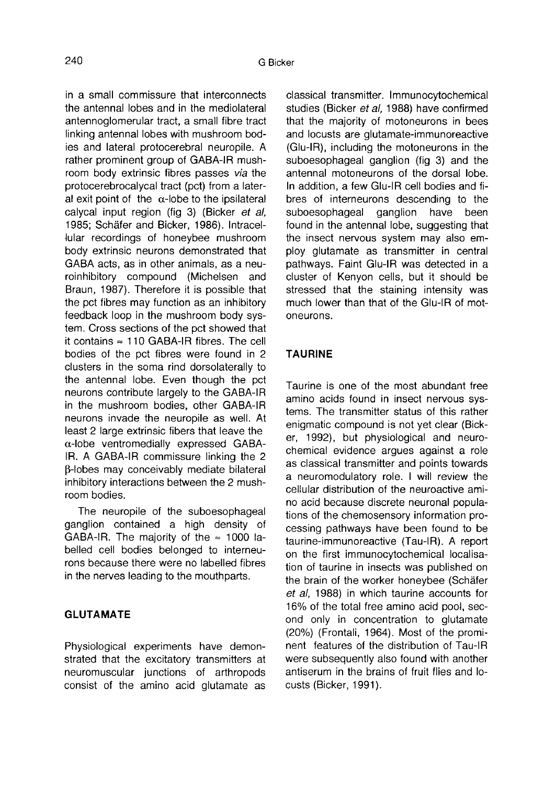in a small commissure that interconnects the antennal lobes and in the mediolateral antennoglomerular tract, a small fibre tract linking antennal lobes with mushroom bodies and lateral protocerebral neuropile. A rather prominent group of GABA-IR mushroom body extrinsic fibres passes via the protocerebrocalycal tract (pct) from a lateral exit point of the  $\alpha$ -lobe to the ipsilateral calycal input region (fig 3) (Bicker et al, 1985; Schäfer and Bicker, 1986). Intracellular recordings of honeybee mushroom body extrinsic neurons demonstrated that GABA acts, as in other animals, as a neuroinhibitory compound (Michelsen and Braun, 1987). Therefore it is possible that the pct fibres may function as an inhibitory feedback loop in the mushroom body system. Cross sections of the pct showed that it contains ≈ 110 GABA-IR fibres. The cell bodies of the pct fibres were found in 2 clusters in the soma rind dorsolaterally to the antennal lobe. Even though the pct neurons contribute largely to the GABA-IR in the mushroom bodies, other GABA-IR neurons invade the neuropile as well. At least 2 large extrinsic fibers that leave the α-lobe ventromedially expressed GABA-IR. A GABA-IR commissure linking the 2 β-lobes may conceivably mediate bilateral inhibitory interactions between the 2 mushroom bodies.

The neuropile of the suboesophageal ganglion contained a high density of GABA-IR. The majority of the  $\approx$  1000 labelled cell bodies belonged to interneurons because there were no labelled fibres in the nerves leading to the mouthparts.

## GLUTAMATE

Physiological experiments have demonstrated that the excitatory transmitters at neuromuscular junctions of arthropods consist of the amino acid glutamate as classical transmitter. Immunocytochemical studies (Bicker et al, 1988) have confirmed that the majority of motoneurons in bees and locusts are glutamate-immunoreactive (Glu-IR), including the motoneurons in the suboesophageal ganglion (fig 3) and the antennal motoneurons of the dorsal lobe. In addition, a few Glu-IR cell bodies and fibres of interneurons descending to the<br>suboesophageal ganglion have been suboesophageal found in the antennal lobe, suggesting that the insect nervous system may also employ glutamate as transmitter in central pathways. Faint Glu-IR was detected in a cluster of Kenyon cells, but it should be stressed that the staining intensity was much lower than that of the Glu-IR of motoneurons.

#### TAURINE

Taurine is one of the most abundant free amino acids found in insect nervous systems. The transmitter status of this rather enigmatic compound is not yet clear (Bick er, 1992), but physiological and neurochemical evidence argues against a role as classical transmitter and points towards a neuromodulatory role. I will review the cellular distribution of the neuroactive amino acid because discrete neuronal populations of the chemosensory information processing pathways have been found to be taurine-immunoreactive (Tau-IR). A report on the first immunocytochemical localisation of taurine in insects was published on the brain of the worker honeybee (Schäfer et al, 1988) in which taurine accounts for 16% of the total free amino acid pool, second only in concentration to glutamate (20%) (Frontali, 1964). Most of the prominent features of the distribution of Tau-IR were subsequently also found with another antiserum in the brains of fruit flies and locusts (Bicker, 1991).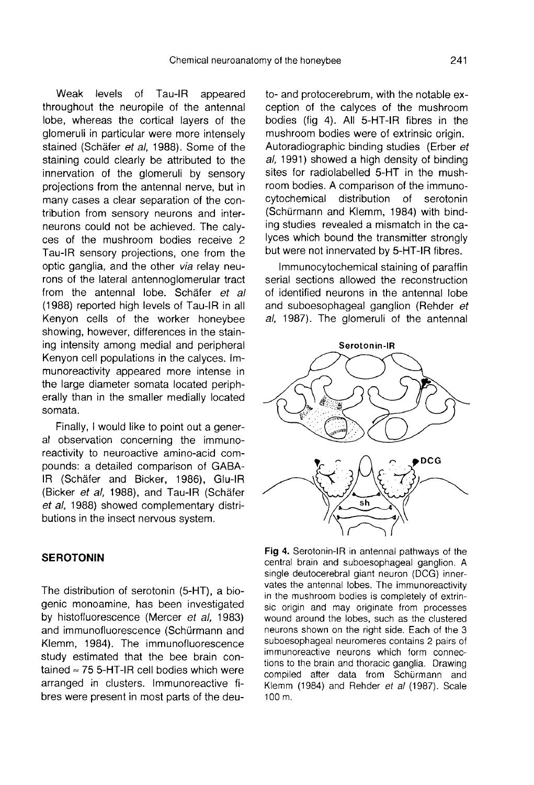Weak levels of Tau-IR appeared throughout the neuropile of the antennal lobe, whereas the cortical layers of the glomeruli in particular were more intensely stained (Schäfer et al, 1988). Some of the staining could clearly be attributed to the innervation of the glomeruli by sensory projections from the antennal nerve, but in many cases a clear separation of the contribution from sensory neurons and interneurons could not be achieved. The caly ces of the mushroom bodies receive 2 Tau-IR sensory projections, one from the optic ganglia, and the other via relay neurons of the lateral antennoglomerular tract from the antennal lobe. Schäfer et al (1988) reported high levels of Tau-IR in all Kenyon cells of the worker honeybee showing, however, differences in the staining intensity among medial and peripheral Kenyon cell populations in the calyces. Immunoreactivity appeared more intense in the large diameter somata located peripherally than in the smaller medially located somata.

Finally, I would like to point out a general observation concerning the immunoreactivity to neuroactive amino-acid compounds: a detailed comparison of GABA-IR (Schäfer and Bicker, 1986), Glu-IR (Bicker et al, 1988), and Tau-IR (Schäfer et al, 1988) showed complementary distributions in the insect nervous system.

#### SEROTONIN

The distribution of serotonin (5-HT), a biogenic monoamine, has been investigated by histofluorescence (Mercer et al, 1983) and immunofluorescence (Schürmann and Klemm, 1984). The immunofluorescence study estimated that the bee brain contained  $\approx$  75 5-HT-IR cell bodies which were arranged in clusters. Immunoreactive fibres were present in most parts of the deuto- and protocerebrum, with the notable exception of the calyces of the mushroom bodies (fig 4). All 5-HT-IR fibres in the mushroom bodies were of extrinsic origin. Autoradiographic binding studies (Erber et al, 1991) showed a high density of binding sites for radiolabelled 5-HT in the mushroom bodies. A comparison of the immunocytochemical distribution of serotonin (Schürmann and Klemm, 1984) with binding studies revealed a mismatch in the calyces which bound the transmitter strongly but were not innervated by 5-HT-IR fibres.

Immunocytochemical staining of paraffin serial sections allowed the reconstruction of identified neurons in the antennal lobe and suboesophageal ganglion (Rehder et al, 1987). The glomeruli of the antennal



Fig 4. Serotonin-IR in antennal pathways of the central brain and suboesophageal ganglion. A single deutocerebral giant neuron (DCG) innervates the antennal lobes. The immunoreactivity in the mushroom bodies is completely of extrinsic origin and may originate from processes wound around the lobes, such as the clustered neurons shown on the right side. Each of the 3 suboesophageal neuromeres contains 2 pairs of immunoreactive neurons which form connections to the brain and thoracic ganglia. Drawing compiled after data from Schürmann and Klemm (1984) and Rehder et al (1987). Scale 100 m.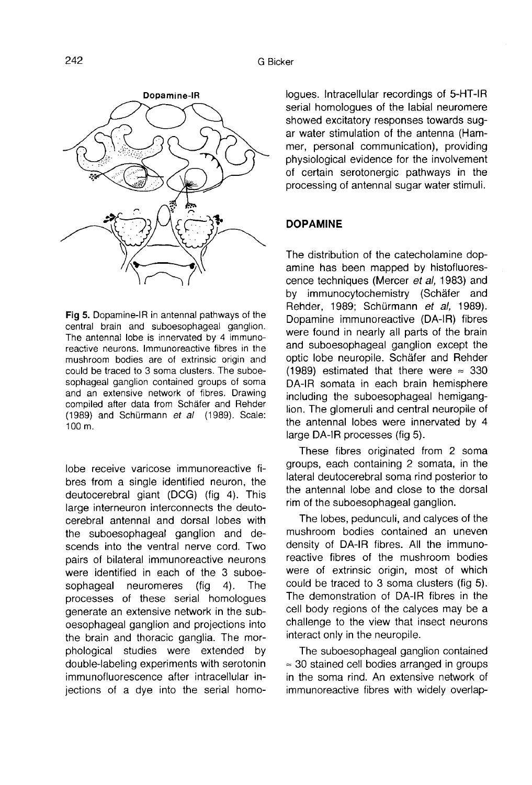

Fig 5. Dopamine-IR in antennal pathways of the central brain and suboesophageal ganglion. The antennal lobe is innervated by 4 immunoreactive neurons. Immunoreactive fibres in the mushroom bodies are of extrinsic origin and could be traced to 3 soma clusters. The suboesophageal ganglion contained groups of soma and an extensive network of fibres. Drawing compiled after data from Schäfer and Rehder (1989) and Schürmann et al (1989). Scale:  $100 m.$ 

lobe receive varicose immunoreactive fibres from a single identified neuron, the deutocerebral giant (DCG) (fig 4). This large interneuron interconnects the deutocerebral antennal and dorsal lobes with the suboesophageal ganglion and descends into the ventral nerve cord. Two pairs of bilateral immunoreactive neurons were identified in each of the 3 suboesophageal neuromeres (fig 4). The processes of these serial homologues generate an extensive network in the suboesophageal ganglion and projections into the brain and thoracic ganglia. The morphological studies were extended by double-labeling experiments with serotonin immunofluorescence after intracellular injections of a dye into the serial homologues. Intracellular recordings of 5-HT-IR serial homologues of the labial neuromere showed excitatory responses towards sugar water stimulation of the antenna (Ham mer, personal communication), providing physiological evidence for the involvement of certain serotonergic pathways in the processing of antennal sugar water stimuli.

#### DOPAMINE

The distribution of the catecholamine dopamine has been mapped by histofluorescence techniques (Mercer et al, 1983) and by immunocytochemistry (Schäfer and Rehder, 1989; Schürmann et al, 1989). Dopamine immunoreactive (DA-IR) fibres were found in nearly all parts of the brain and suboesophageal ganglion except the optic lobe neuropile. Schäfer and Rehder (1989) estimated that there were  $\approx 330$ DA-IR somata in each brain hemisphere including the suboesophageal hemiganglion. The glomeruli and central neuropile of the antennal lobes were innervated by 4 large DA-IR processes (fig 5).

These fibres originated from 2 soma groups, each containing 2 somata, in the lateral deutocerebral soma rind posterior to the antennal lobe and close to the dorsal rim of the suboesophageal ganglion.

The lobes, pedunculi, and calyces of the mushroom bodies contained an uneven density of DA-IR fibres. All the immunoreactive fibres of the mushroom bodies were of extrinsic origin, most of which could be traced to 3 soma clusters (fig 5). The demonstration of DA-IR fibres in the cell body regions of the calyces may be a challenge to the view that insect neurons interact only in the neuropile.

The suboesophageal ganglion contained ≈ 30 stained cell bodies arranged in groups in the soma rind. An extensive network of immunoreactive fibres with widely overlap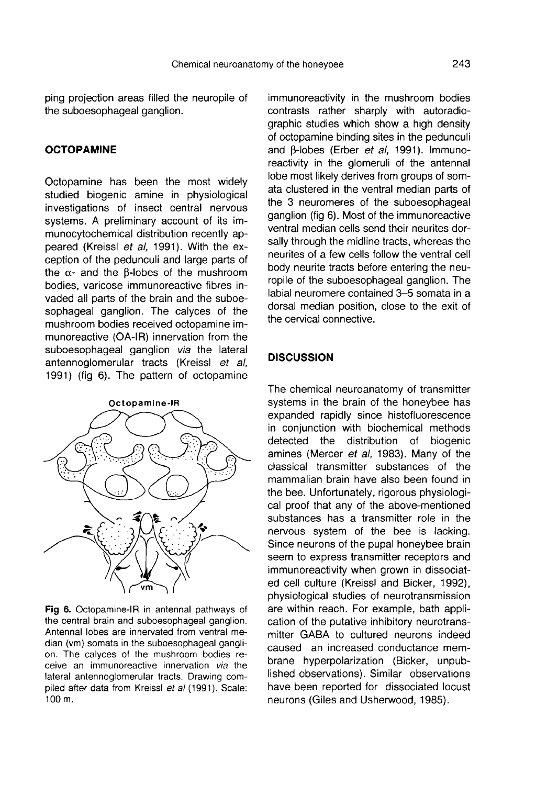ping projection areas filled the neuropile of the suboesophageal ganglion.

#### **OCTOPAMINE**

Octopamine has been the most widely studied biogenic amine in physiological investigations of insect central nervous systems. A preliminary account of its immunocytochemical distribution recently appeared (Kreissl et al, 1991). With the exception of the pedunculi and large parts of the  $α$ - and the  $β$ -lobes of the mushroom bodies, varicose immunoreactive fibres invaded all parts of the brain and the suboesophageal ganglion. The calyces of the mushroom bodies received octopamine immunoreactive (OA-IR) innervation from the suboesophageal ganglion via the lateral antennoglomerular tracts (Kreissl et al, 1991) (fig 6). The pattern of octopamine



Fig 6. Octopamine-IR in antennal pathways of the central brain and suboesophageal ganglion. Antennal lobes are innervated from ventral median (vm) somata in the suboesophageal ganglion. The calyces of the mushroom bodies receive an immunoreactive innervation via the lateral antennoglomerular tracts. Drawing compiled after data from Kreissl et al (1991). Scale: 100 m.

immunoreactivity in the mushroom bodies contrasts rather sharply with autoradiographic studies which show a high density of octopamine binding sites in the pedunculi and β-lobes (Erber et al, 1991). Immunoreactivity in the glomeruli of the antennal lobe most likely derives from groups of somata clustered in the ventral median parts of the 3 neuromeres of the suboesophageal ganglion (fig 6). Most of the immunoreactive ventral median cells send their neurites dorsally through the midline tracts, whereas the neurites of a few cells follow the ventral cell body neurite tracts before entering the neuropile of the suboesophageal ganglion. The labial neuromere contained 3-5 somata in a dorsal median position, close to the exit of the cervical connective.

#### **DISCUSSION**

The chemical neuroanatomy of transmitter systems in the brain of the honeybee has expanded rapidly since histofluorescence in conjunction with biochemical methods<br>detected the distribution of biogenic detected the distribution amines (Mercer et al, 1983). Many of the classical transmitter substances of the mammalian brain have also been found in the bee. Unfortunately, rigorous physiological proof that any of the above-mentioned substances has a transmitter role in the nervous system of the bee is lacking. Since neurons of the pupal honeybee brain seem to express transmitter receptors and immunoreactivity when grown in dissociated cell culture (Kreissl and Bicker, 1992), physiological studies of neurotransmission are within reach. For example, bath application of the putative inhibitory neurotransmitter GABA to cultured neurons indeed caused an increased conductance membrane hyperpolarization (Bicker, unpublished observations). Similar observations have been reported for dissociated locust neurons (Giles and Usherwood, 1985).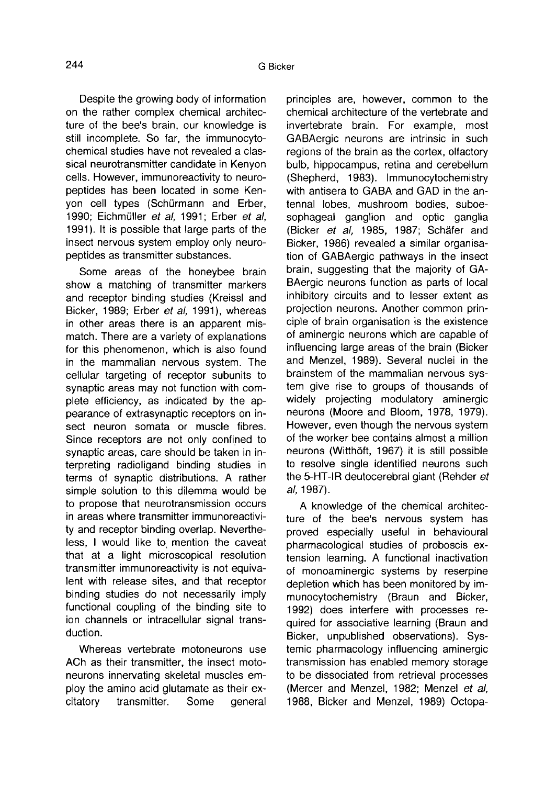Despite the growing body of information on the rather complex chemical architecture of the bee's brain, our knowledge is still incomplete. So far, the immunocytochemical studies have not revealed a classical neurotransmitter candidate in Kenyon cells. However, immunoreactivity to neuropeptides has been located in some Kenyon cell types (Schürmann and Erber, 1990; Eichmüller et al, 1991; Erber et al, 1991). It is possible that large parts of the insect nervous system employ only neuropeptides as transmitter substances.

Some areas of the honeybee brain show a matching of transmitter markers and receptor binding studies (Kreissl and Bicker, 1989; Erber et al, 1991), whereas in other areas there is an apparent mismatch. There are a variety of explanations for this phenomenon, which is also found in the mammalian nervous system. The cellular targeting of receptor subunits to synaptic areas may not function with complete efficiency, as indicated by the appearance of extrasynaptic receptors on insect neuron somata or muscle fibres. Since receptors are not only confined to synaptic areas, care should be taken in interpreting radioligand binding studies in terms of synaptic distributions. A rather simple solution to this dilemma would be to propose that neurotransmission occurs in areas where transmitter immunoreactivity and receptor binding overlap. Nevertheless, I would like to mention the caveat that at a light microscopical resolution transmitter immunoreactivity is not equivalent with release sites, and that receptor binding studies do not necessarily imply functional coupling of the binding site to ion channels or intracellular signal transduction.

Whereas vertebrate motoneurons use ACh as their transmitter, the insect motoneurons innervating skeletal muscles employ the amino acid glutamate as their ex-<br>citatory transmitter. Some general transmitter. Some general

principles are, however, common to the chemical architecture of the vertebrate and invertebrate brain. For example, most GABAergic neurons are intrinsic in such regions of the brain as the cortex, olfactory bulb, hippocampus, retina and cerebellum (Shepherd, 1983). Immunocytochemistry with antisera to GABA and GAD in the antennal lobes, mushroom bodies, suboesophageal ganglion and optic ganglia (Bicker et al, 1985, 1987; Schäfer and Bicker, 1986) revealed a similar organisation of GABAergic pathways in the insect brain, suggesting that the majority of GA-BAergic neurons function as parts of local inhibitory circuits and to lesser extent as projection neurons. Another common principle of brain organisation is the existence of aminergic neurons which are capable of influencing large areas of the brain (Bicker and Menzel, 1989). Several nuclei in the brainstem of the mammalian nervous system give rise to groups of thousands of widely projecting modulatory aminergic neurons (Moore and Bloom, 1978, 1979). However, even though the nervous system of the worker bee contains almost a million neurons (Witthöft, 1967) it is still possible to resolve single identified neurons such the 5-HT-IR deutocerebral giant (Rehder et al, 1987).

A knowledge of the chemical architecture of the bee's nervous system has proved especially useful in behavioural pharmacological studies of proboscis extension learning. A functional inactivation of monoaminergic systems by reserpine depletion which has been monitored by immunocytochemistry (Braun and Bicker, 1992) does interfere with processes required for associative learning (Braun and Bicker, unpublished observations). Systemic pharmacology influencing aminergic transmission has enabled memory storage to be dissociated from retrieval processes (Mercer and Menzel, 1982; Menzel et al, 1988, Bicker and Menzel, 1989) Octopa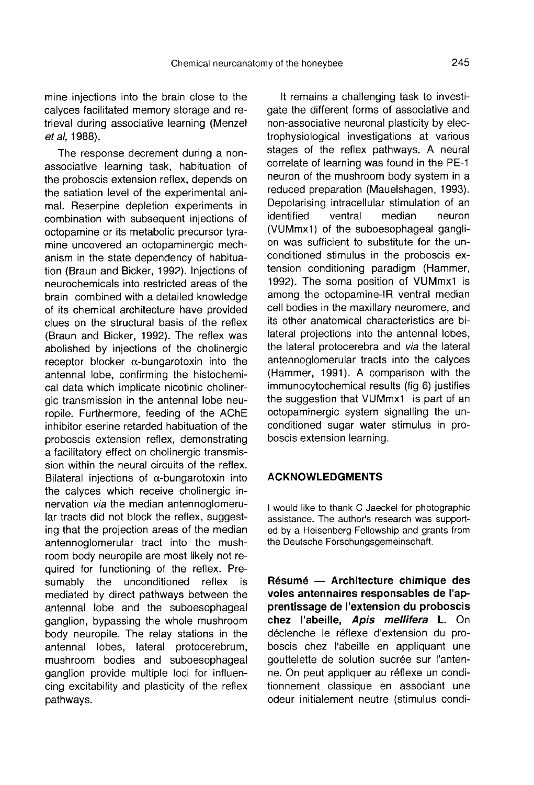mine injections into the brain close to the calyces facilitated memory storage and retrieval during associative learning (Menzel et al, 1988).

The response decrement during a nonassociative learning task, habituation of the proboscis extension reflex, depends on the satiation level of the experimental animal. Reserpine depletion experiments in combination with subsequent injections of octopamine or its metabolic precursor tyramine uncovered an octopaminergic mechanism in the state dependency of habituation (Braun and Bicker, 1992). Injections of neurochemicals into restricted areas of the brain combined with a detailed knowledge of its chemical architecture have provided clues on the structural basis of the reflex (Braun and Bicker, 1992). The reflex was abolished by injections of the cholinergic receptor blocker  $\alpha$ -bungarotoxin into the antennal lobe, confirming the histochemical data which implicate nicotinic cholinergic transmission in the antennal lobe neuropile. Furthermore, feeding of the AChE inhibitor eserine retarded habituation of the proboscis extension reflex, demonstrating a facilitatory effect on cholinergic transmission within the neural circuits of the reflex. Bilateral injections of  $\alpha$ -bungarotoxin into the calyces which receive cholinergic innervation via the median antennoglomerular tracts did not block the reflex, suggesting that the projection areas of the median antennoglomerular tract into the mushroom body neuropile are most likely not required for functioning of the reflex. Presumably the unconditioned reflex is mediated by direct pathways between the antennal lobe and the suboesophageal ganglion, bypassing the whole mushroom body neuropile. The relay stations in the antennal lobes, lateral protocerebrum, mushroom bodies and suboesophageal ganglion provide multiple loci for influencing excitability and plasticity of the reflex pathways.

It remains a challenging task to investigate the different forms of associative and non-associative neuronal plasticity by electrophysiological investigations at various stages of the reflex pathways. A neural correlate of learning was found in the PE-1 neuron of the mushroom body system in a reduced preparation (Mauelshagen, 1993). Depolarising intracellular stimulation of an<br>identified ventral median neuron identified (VUMmx1) of the suboesophageal gangli on was sufficient to substitute for the unconditioned stimulus in the proboscis extension conditioning paradigm (Hammer, 1992). The soma position of VUMmx1 is among the octopamine-IR ventral median cell bodies in the maxillary neuromere, and its other anatomical characteristics are bilateral projections into the antennal lobes, the lateral protocerebra and via the lateral antennoglomerular tracts into the calyces (Hammer, 1991). A comparison with the immunocytochemical results (fig 6) justifies the suggestion that VUMmx1 is part of an octopaminergic system signalling the unconditioned sugar water stimulus in proboscis extension learning.

#### ACKNOWLEDGMENTS

I would like to thank C Jaeckel for photographic assistance. The author's research was supported by a Heisenberg-Fellowship and grants from the Deutsche Forschungsgemeinschaft.

Résumé — Architecture chimique des voies antennaires responsables de l'apprentissage de l'extension du proboscis chez l'abeille, Apis mellifera L. On déclenche le réflexe d'extension du proboscis chez l'abeille en appliquant une gouttelette de solution sucrée sur l'antenne. On peut appliquer au réflexe un conditionnement classique en associant une odeur initialement neutre (stimulus condi-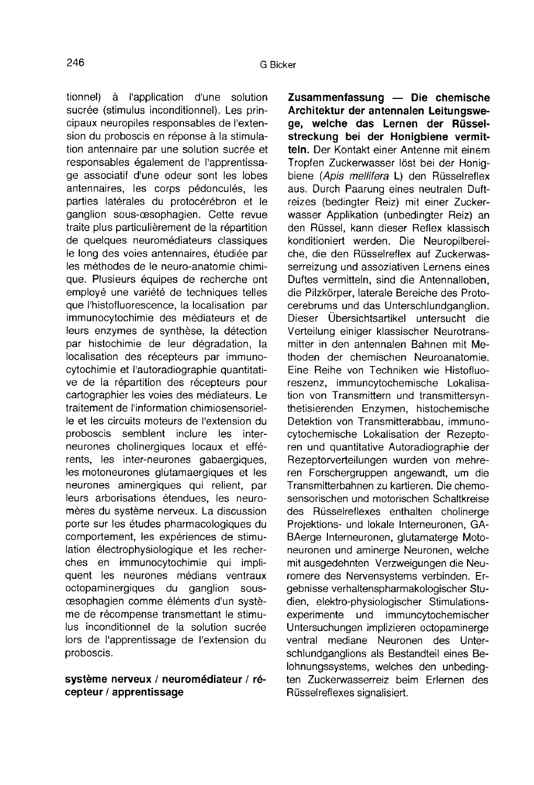tionnel) à l'application d'une solution sucrée (stimulus inconditionnel). Les principaux neuropiles responsables de l'extension du proboscis en réponse à la stimulation antennaire par une solution sucrée et responsables également de l'apprentissage associatif d'une odeur sont les lobes antennaires, les corps pédonculés, les parties latérales du protocérébron et le ganglion sous-œsophagien. Cette revue traite plus particulièrement de la répartition de quelques neuromédiateurs classiques le long des voies antennaires, étudiée par les méthodes de le neuro-anatomie chimique. Plusieurs équipes de recherche ont employé une variété de techniques telles que l'histofluorescence, la localisation par immunocytochimie des médiateurs et de leurs enzymes de synthèse, la détection par histochimie de leur dégradation, la localisation des récepteurs par immunocytochimie et l'autoradiographie quantitative de la répartition des récepteurs pour cartographier les voies des médiateurs. Le traitement de l'information chimiosensorielle et les circuits moteurs de l'extension du proboscis semblent inclure les interneurones cholinergiques locaux et efférents, les inter-neurones gabaergiques, les motoneurones glutamaergiques et les neurones aminergiques qui relient, par leurs arborisations étendues, les neuromères du système nerveux. La discussion porte sur les études pharmacologiques du comportement, les expériences de stimulation électrophysiologique et les recherches en immunocytochimie qui impliquent les neurones médians ventraux octopaminergiques du ganglion sous-<br>cesophagien comme éléments d'un système de récompense transmettant le stimulus inconditionnel de la solution sucrée lors de l'apprentissage de l'extension du proboscis.

### système nerveux / neuromédiateur / récepteur / apprentissage

Zusammenfassung — Die chemische Architektur der antennalen Leitungswege, welche das Lernen der Rüsselstreckung bei der Honigbiene vermitteln. Der Kontakt einer Antenne mit einem Tropfen Zuckerwasser löst bei der Honigbiene (Apis mellifera L) den Rüsselreflex aus. Durch Paarung eines neutralen Duftreizes (bedingter Reiz) mit einer Zuckerwasser Applikation (unbedingter Reiz) an den Rüssel, kann dieser Reflex klassisch konditioniert werden. Die Neuropilbereiche, die den Rüsselreflex auf Zuckerwasserreizung und assoziativen Lernens eines Duftes vermitteln, sind die Antennalloben, die Pilzkörper, laterale Bereiche des Protocerebrums und das Unterschlundganglion. Dieser Übersichtsartikel untersucht die Verteilung einiger klassischer Neurotransmitter in den antennalen Bahnen mit Methoden der chemischen Neuroanatomie. Eine Reihe von Techniken wie Histofluoreszenz, immuncytochemische Lokalisation von Transmittern und transmittersynthetisierenden Enzymen, histochemische Detektion von Transmitterabbau, immunocytochemische Lokalisation der Rezepto ren und quantitative Autoradiographie der Rezeptorverteilungen wurden von mehreren Forschergruppen angewandt, um die Transmitterbahnen zu kartieren. Die chemosensorischen und motorischen Schaltkreise des Rüsselreflexes enthalten cholinerge Projektions- und lokale Interneuronen, GA-BAerge Interneuronen, glutamaterge Motoneuronen und aminerge Neuronen, welche mit ausgedehnten Verzweigungen die Neuromere des Nervensystems verbinden. Ergebnisse verhaltenspharmakologischer Studien, elektro-physiologischer Stimulationsexperimente und immuncytochemischer Untersuchungen implizieren octopaminerge ventral mediane Neuronen des Unterschlundganglions als Bestandteil eines Belohnungssystems, welches den unbedingten Zuckerwasserreiz beim Erlernen des Rüsselreflexes signalisiert.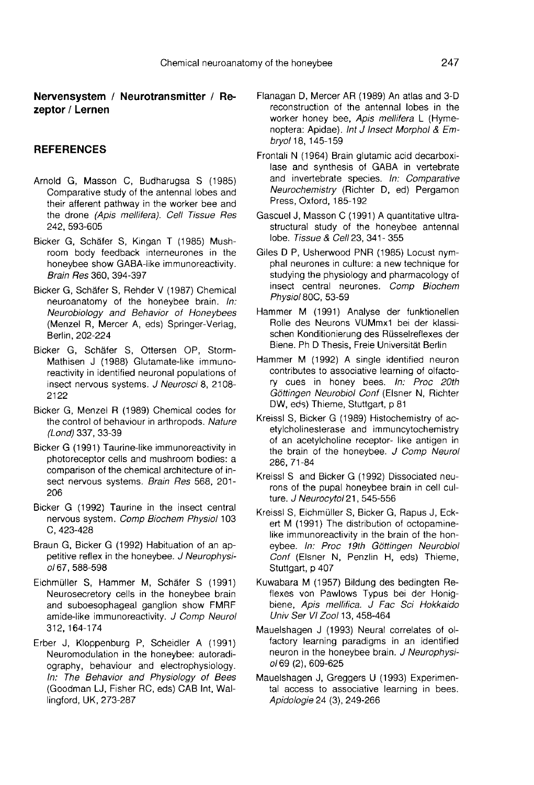Nervensystem / Neurotransmitter / Rezeptor / Lernen

#### **REFERENCES**

- Arnold G, Masson C, Budharugsa S (1985) Comparative study of the antennal lobes and their afferent pathway in the worker bee and the drone (Apis mellifera). Cell Tissue Res 242, 593-605
- Bicker G, Schäfer S, Kingan T (1985) Mushroom body feedback interneurones in the honeybee show GABA-like immunoreactivity. Brain Res 360, 394-397
- Bicker G, Schafer S, Rehder V (1987) Chemical neuroanatomy of the honeybee brain. In: Neurobiology and Behavior of Honeybees (Menzel R, Mercer A, eds) Springer-Verlag, Berlin, 202-224
- Bicker G, Schafer S, Ottersen OP, Storm-Mathisen J (1988) Glutamate-like immunoreactivity in identified neuronal populations of insect nervous systems. J Neurosci 8, 2108- 2122
- Bicker G, Menzel R (1989) Chemical codes for the control of behaviour in arthropods. Nature (Lond) 337, 33-39
- Bicker G (1991) Taurine-like immunoreactivity in photoreceptor cells and mushroom bodies: a comparison of the chemical architecture of insect nervous systems. Brain Res 568, 201-206
- Bicker G (1992) Taurine in the insect central nervous system. Comp Biochem Physiol 103 C, 423-428
- Braun G, Bicker G (1992) Habituation of an appetitive reflex in the honeybee. J Neurophysiol 67, 588-598
- Eichmüller S, Hammer M, Schäfer S (1991) Neurosecretory cells in the honeybee brain and suboesophageal ganglion show FMRF amide-like immunoreactivity. J Comp Neurol 312, 164-174
- Erber J, Kloppenburg P, Scheidler A (1991) Neuromodulation in the honeybee: autoradiography, behaviour and electrophysiology. In: The Behavior and Physiology of Bees (Goodman LJ, Fisher RC, eds) CAB Int, Wallingford, UK, 273-287
- Flanagan D, Mercer AR (1989) An atlas and 3-D reconstruction of the antennal lobes in the worker honey bee, Apis mellifera L (Hymenoptera: Apidae). Int J Insect Morphol & Embryol 18, 145-159
- Frontali N (1964) Brain glutamic acid decarboxilase and synthesis of GABA in vertebrate and invertebrate species. In: Comparative Neurochemistry (Richter D, ed) Pergamon Press, Oxford, 185-192
- Gascuel J, Masson C (1991) A quantitative ultrastructural study of the honeybee antennal lobe. Tissue & Cell 23, 341-355
- Giles D P, Usherwood PNR (1985) Locust nymphal neurones in culture: a new technique for studying the physiology and pharmacology of insect central neurones. Comp Biochem Physiol 80C, 53-59
- Hammer M (1991) Analyse der funktionellen Rolle des Neurons VUMmx1 bei der klassischen Konditionierung des Rüsselreflexes der Biene. Ph D Thesis, Freie Universität Berlin
- Hammer M (1992) A single identified neuron contributes to associative learning of olfactory cues in honey bees. In: Proc 20th Göttingen Neurobiol Conf (Elsner N, Richter DW, eds) Thieme, Stuttgart, p 81
- Kreissl S, Bicker G (1989) Histochemistry of acetylcholinesterase and immuncytochemistry of an acetylcholine receptor- like antigen in the brain of the honeybee. J Comp Neurol 286, 71-84
- Kreissl S and Bicker G (1992) Dissociated neurons of the pupal honeybee brain in cell culture. J Neurocytol 21, 545-556
- Kreissl S, Eichmüller S, Bicker G, Rapus J, Eckert M (1991) The distribution of octopaminelike immunoreactivity in the brain of the honeybee. In: Proc 19th Göttingen Neurobiol Conf (Elsner N, Penzlin H, eds) Thieme, Stuttgart, p 407
- Kuwabara M (1957) Bildung des bedingten Reflexes von Pawlows Typus bei der Honigbiene, Apis mellifica. J Fac Sci Hokkaido Univ Ser VI Zool 13, 458-464
- Mauelshagen J (1993) Neural correlates of olfactory learning paradigms in an identified neuron in the honeybee brain. J Neurophysiol 69 (2), 609-625
- Mauelshagen J, Greggers U (1993) Experimental access to associative learning in bees. Apidologie 24 (3), 249-266